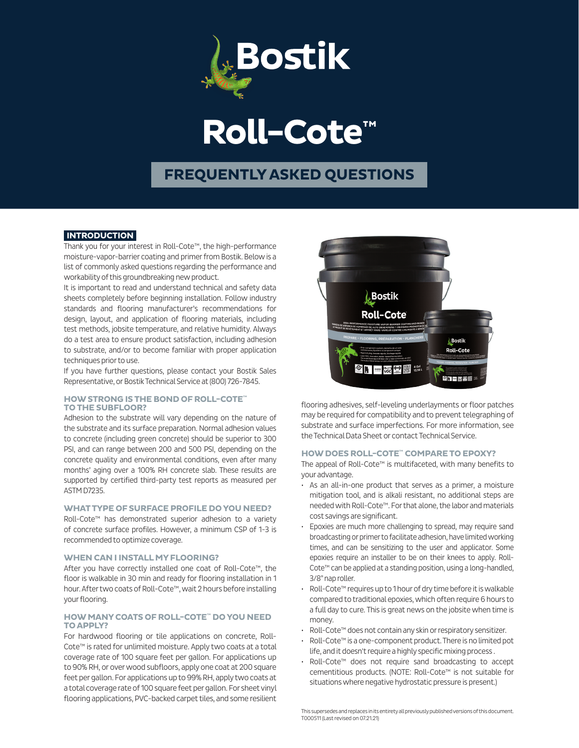

# **Roll-Cote™**

### **FREQUENTLY ASKED QUESTIONS**

#### **INTRODUCTION**

Thank you for your interest in Roll-Cote™, the high-performance moisture-vapor-barrier coating and primer from Bostik. Below is a list of commonly asked questions regarding the performance and workability of this groundbreaking new product.

It is important to read and understand technical and safety data sheets completely before beginning installation. Follow industry standards and flooring manufacturer's recommendations for design, layout, and application of flooring materials, including test methods, jobsite temperature, and relative humidity. Always do a test area to ensure product satisfaction, including adhesion to substrate, and/or to become familiar with proper application techniques prior to use.

If you have further questions, please contact your Bostik Sales Representative, or Bostik Technical Service at (800) 726-7845.

#### **HOW STRONG IS THE BOND OF ROLL-COTE™ TO THE SUBFLOOR?**

Adhesion to the substrate will vary depending on the nature of the substrate and its surface preparation. Normal adhesion values to concrete (including green concrete) should be superior to 300 PSI, and can range between 200 and 500 PSI, depending on the concrete quality and environmental conditions, even after many months' aging over a 100% RH concrete slab. These results are supported by certified third-party test reports as measured per ASTM D7235.

#### **WHAT TYPE OF SURFACE PROFILE DO YOU NEED?**

Roll-Cote™ has demonstrated superior adhesion to a variety of concrete surface profiles. However, a minimum CSP of 1-3 is recommended to optimize coverage.

#### **WHEN CAN I INSTALL MY FLOORING?**

After you have correctly installed one coat of Roll-Cote™, the floor is walkable in 30 min and ready for flooring installation in 1 hour. After two coats of Roll-Cote™, wait 2 hours before installing your flooring.

#### **HOW MANY COATS OF ROLL-COTE™ DO YOU NEED TO APPLY?**

For hardwood flooring or tile applications on concrete, Roll-Cote™ is rated for unlimited moisture. Apply two coats at a total coverage rate of 100 square feet per gallon. For applications up to 90% RH, or over wood subfloors, apply one coat at 200 square feet per gallon. For applications up to 99% RH, apply two coats at a total coverage rate of 100 square feet per gallon. For sheet vinyl flooring applications, PVC-backed carpet tiles, and some resilient



flooring adhesives, self-leveling underlayments or floor patches may be required for compatibility and to prevent telegraphing of substrate and surface imperfections. For more information, see the Technical Data Sheet or contact Technical Service.

#### **HOW DOES ROLL-COTE™ COMPARE TO EPOXY?**

The appeal of Roll-Cote™ is multifaceted, with many benefits to your advantage.

- As an all-in-one product that serves as a primer, a moisture mitigation tool, and is alkali resistant, no additional steps are needed with Roll-Cote™. For that alone, the labor and materials cost savings are significant.
- Epoxies are much more challenging to spread, may require sand broadcasting or primer to facilitate adhesion, have limited working times, and can be sensitizing to the user and applicator. Some epoxies require an installer to be on their knees to apply. Roll-Cote™ can be applied at a standing position, using a long-handled, 3/8" nap roller.
- Roll-Cote™ requires up to 1 hour of dry time before it is walkable compared to traditional epoxies, which often require 6 hours to a full day to cure. This is great news on the jobsite when time is money.
- Roll-Cote™ does not contain any skin or respiratory sensitizer.
- Roll-Cote™ is a one-component product. There is no limited pot life, and it doesn't require a highly specific mixing process .
- Roll-Cote™ does not require sand broadcasting to accept cementitious products. (NOTE: Roll-Cote™ is not suitable for situations where negative hydrostatic pressure is present.)

This supersedes and replaces in its entirety all previously published versions of this document. T000511 (Last revised on 07.21.21)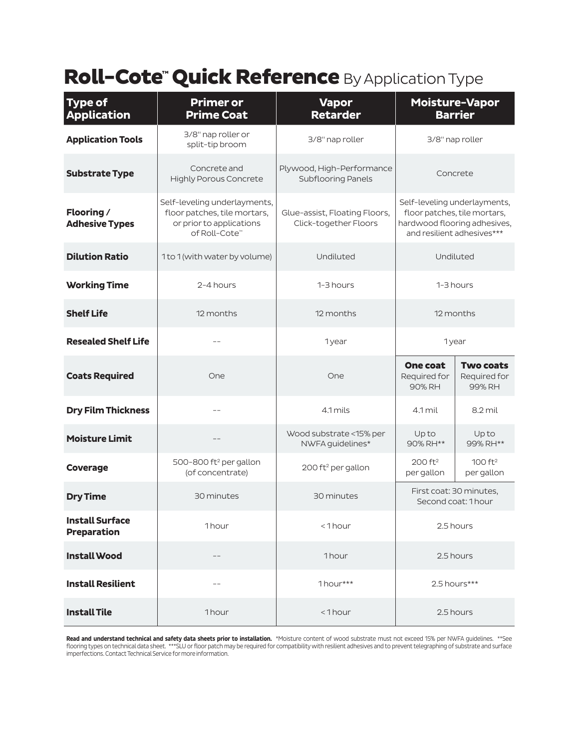## Roll-Cote<sup>™</sup> Quick Reference By Application Type

| <b>Type of</b><br><b>Application</b>         | <b>Primer or</b><br><b>Prime Coat</b>                                                                     | <b>Vapor</b><br><b>Retarder</b>                        | <b>Moisture-Vapor</b><br><b>Barrier</b>                                                                                    |                                            |
|----------------------------------------------|-----------------------------------------------------------------------------------------------------------|--------------------------------------------------------|----------------------------------------------------------------------------------------------------------------------------|--------------------------------------------|
| <b>Application Tools</b>                     | 3/8" nap roller or<br>split-tip broom                                                                     | 3/8" nap roller                                        | 3/8" nap roller                                                                                                            |                                            |
| <b>Substrate Type</b>                        | Concrete and<br><b>Highly Porous Concrete</b>                                                             | Plywood, High-Performance<br>Subflooring Panels        | Concrete                                                                                                                   |                                            |
| Flooring /<br><b>Adhesive Types</b>          | Self-leveling underlayments,<br>floor patches, tile mortars,<br>or prior to applications<br>of Roll-Cote™ | Glue-assist, Floating Floors,<br>Click-together Floors | Self-leveling underlayments,<br>floor patches, tile mortars,<br>hardwood flooring adhesives,<br>and resilient adhesives*** |                                            |
| <b>Dilution Ratio</b>                        | 1 to 1 (with water by volume)                                                                             | Undiluted                                              | Undiluted                                                                                                                  |                                            |
| <b>Working Time</b>                          | 2-4 hours                                                                                                 | 1-3 hours                                              | 1-3 hours                                                                                                                  |                                            |
| <b>Shelf Life</b>                            | 12 months                                                                                                 | 12 months                                              | 12 months                                                                                                                  |                                            |
| <b>Resealed Shelf Life</b>                   | $- -$                                                                                                     | 1year                                                  | 1year                                                                                                                      |                                            |
| <b>Coats Required</b>                        | One                                                                                                       | One                                                    | <b>One coat</b><br>Required for<br>90% RH                                                                                  | <b>Two coats</b><br>Required for<br>99% RH |
| <b>Dry Film Thickness</b>                    | $-$                                                                                                       | 4.1 mils                                               | $4.1$ mil                                                                                                                  | 8.2 mil                                    |
| <b>Moisture Limit</b>                        |                                                                                                           | Wood substrate <15% per<br>NWFA guidelines*            | Upto<br>90% RH**                                                                                                           | Upto<br>99% RH**                           |
| Coverage                                     | 500-800 ft <sup>2</sup> per gallon<br>(of concentrate)                                                    | 200 ft <sup>2</sup> per gallon                         | 200 ft <sup>2</sup><br>per gallon                                                                                          | 100 ft <sup>2</sup><br>per gallon          |
| <b>Dry Time</b>                              | 30 minutes                                                                                                | 30 minutes                                             | First coat: 30 minutes,<br>Second coat: 1 hour                                                                             |                                            |
| <b>Install Surface</b><br><b>Preparation</b> | 1hour                                                                                                     | <1hour                                                 | 2.5 hours                                                                                                                  |                                            |
| <b>Install Wood</b>                          | $\qquad \qquad -$                                                                                         | 1hour                                                  | 2.5 hours                                                                                                                  |                                            |
| <b>Install Resilient</b>                     |                                                                                                           | 1hour***                                               | 2.5 hours***                                                                                                               |                                            |
| <b>Install Tile</b>                          | 1hour                                                                                                     | $< 1$ hour                                             | 2.5 hours                                                                                                                  |                                            |

**Read and understand technical and safety data sheets prior to installation.** \*Moisture content of wood substrate must not exceed 15% per NWFA guidelines. \*\*See<br>flooring types on technical data sheet. \*\*\*SLU or floor patch imperfections. Contact Technical Service for more information.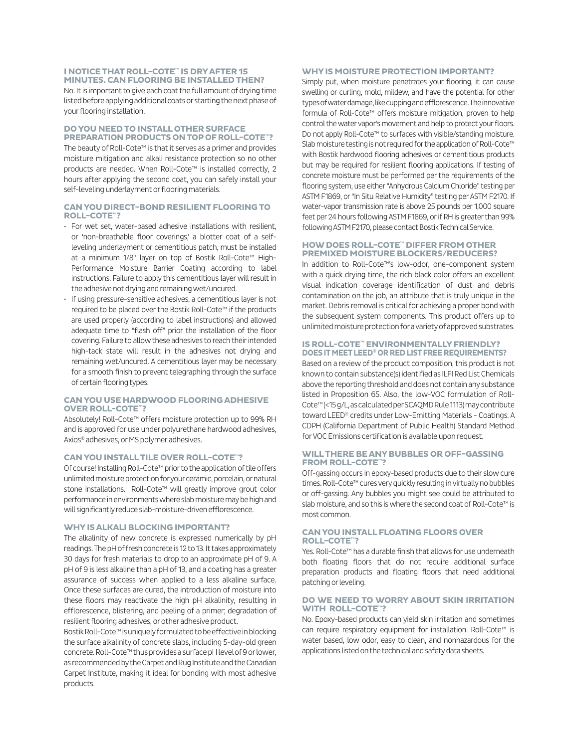#### **I NOTICE THAT ROLL-COTE™ IS DRY AFTER 15 MINUTES. CAN FLOORING BE INSTALLED THEN?**

No. It is important to give each coat the full amount of drying time listed before applying additional coats or starting the next phase of your flooring installation.

#### **DO YOU NEED TO INSTALL OTHER SURFACE PREPARATION PRODUCTS ON TOP OF ROLL-COTE™?**

The beauty of Roll-Cote™ is that it serves as a primer and provides moisture mitigation and alkali resistance protection so no other products are needed. When Roll-Cote™ is installed correctly, 2 hours after applying the second coat, you can safely install your self-leveling underlayment or flooring materials.

#### **CAN YOU DIRECT-BOND RESILIENT FLOORING TO ROLL-COTE™?**

- For wet set, water-based adhesive installations with resilient, or 'non-breathable floor coverings,' a blotter coat of a selfleveling underlayment or cementitious patch, must be installed at a minimum 1/8" layer on top of Bostik Roll-Cote™ High-Performance Moisture Barrier Coating according to label instructions. Failure to apply this cementitious layer will result in the adhesive not drying and remaining wet/uncured.
- If using pressure-sensitive adhesives, a cementitious layer is not required to be placed over the Bostik Roll-Cote™ if the products are used properly (according to label instructions) and allowed adequate time to "flash off" prior the installation of the floor covering. Failure to allow these adhesives to reach their intended high-tack state will result in the adhesives not drying and remaining wet/uncured. A cementitious layer may be necessary for a smooth finish to prevent telegraphing through the surface of certain flooring types.

#### **CAN YOU USE HARDWOOD FLOORING ADHESIVE OVER ROLL-COTE™?**

Absolutely! Roll-Cote™ offers moisture protection up to 99% RH and is approved for use under polyurethane hardwood adhesives, Axios® adhesives, or MS polymer adhesives.

#### **CAN YOU INSTALL TILE OVER ROLL-COTE™?**

Of course! Installing Roll-Cote™ prior to the application of tile offers unlimited moisture protection for your ceramic, porcelain, or natural stone installations. Roll-Cote™ will greatly improve grout color performance in environments where slab moisture may be high and will significantly reduce slab-moisture-driven efflorescence.

#### **WHY IS ALKALI BLOCKING IMPORTANT?**

The alkalinity of new concrete is expressed numerically by pH readings. The pH of fresh concrete is 12 to 13. It takes approximately 30 days for fresh materials to drop to an approximate pH of 9. A pH of 9 is less alkaline than a pH of 13, and a coating has a greater assurance of success when applied to a less alkaline surface. Once these surfaces are cured, the introduction of moisture into these floors may reactivate the high pH alkalinity, resulting in efflorescence, blistering, and peeling of a primer; degradation of resilient flooring adhesives, or other adhesive product.

Bostik Roll-Cote™ is uniquely formulated to be effective in blocking the surface alkalinity of concrete slabs, including 5-day-old green concrete. Roll-Cote™ thus provides a surface pH level of 9 or lower, as recommended by the Carpet and Rug Institute and the Canadian Carpet Institute, making it ideal for bonding with most adhesive products.

#### **WHY IS MOISTURE PROTECTION IMPORTANT?**

Simply put, when moisture penetrates your flooring, it can cause swelling or curling, mold, mildew, and have the potential for other types of water damage, like cupping and efflorescence. The innovative formula of Roll-Cote™ offers moisture mitigation, proven to help control the water vapor's movement and help to protect your floors. Do not apply Roll-Cote™ to surfaces with visible/standing moisture. Slab moisture testing is not required for the application of Roll-Cote™ with Bostik hardwood flooring adhesives or cementitious products but may be required for resilient flooring applications. If testing of concrete moisture must be performed per the requirements of the flooring system, use either "Anhydrous Calcium Chloride" testing per ASTM F1869, or "In Situ Relative Humidity" testing per ASTM F2170. If water-vapor transmission rate is above 25 pounds per 1,000 square feet per 24 hours following ASTM F1869, or if RH is greater than 99% following ASTM F2170, please contact Bostik Technical Service.

#### **HOW DOES ROLL-COTE™ DIFFER FROM OTHER PREMIXED MOISTURE BLOCKERS/REDUCERS?**

In addition to Roll-Cote™'s low-odor, one-component system with a quick drying time, the rich black color offers an excellent visual indication coverage identification of dust and debris contamination on the job, an attribute that is truly unique in the market. Debris removal is critical for achieving a proper bond with the subsequent system components. This product offers up to unlimited moisture protection for a variety of approved substrates.

#### **IS ROLL-COTE™ ENVIRONMENTALLY FRIENDLY? DOES IT MEET LEED® OR RED LIST FREE REQUIREMENTS?**

Based on a review of the product composition, this product is not known to contain substance(s) identified as ILFI Red List Chemicals above the reporting threshold and does not contain any substance listed in Proposition 65. Also, the low-VOC formulation of Roll-Cote™ (<15 g/L, as calculated per SCAQMD Rule 1113) may contribute toward LEED® credits under Low-Emitting Materials - Coatings. A CDPH (California Department of Public Health) Standard Method for VOC Emissions certification is available upon request.

#### **WILL THERE BE ANY BUBBLES OR OFF-GASSING FROM ROLL-COTE™?**

Off-gassing occurs in epoxy-based products due to their slow cure times. Roll-Cote™ cures very quickly resulting in virtually no bubbles or off-gassing. Any bubbles you might see could be attributed to slab moisture, and so this is where the second coat of Roll-Cote™ is most common.

#### **CAN YOU INSTALL FLOATING FLOORS OVER ROLL-COTE™?**

Yes. Roll-Cote™ has a durable finish that allows for use underneath both floating floors that do not require additional surface preparation products and floating floors that need additional patching or leveling.

#### **DO WE NEED TO WORRY ABOUT SKIN IRRITATION WITH ROLL-COTE™?**

No. Epoxy-based products can yield skin irritation and sometimes can require respiratory equipment for installation. Roll-Cote™ is water based, low odor, easy to clean, and nonhazardous for the applications listed on the technical and safety data sheets.